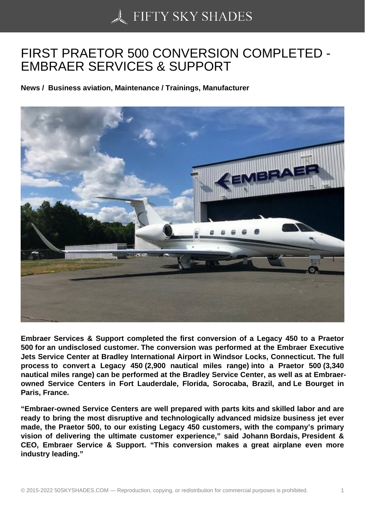## [FIRST PRAETOR 500](https://50skyshades.com) CONVERSION COMPLETED - EMBRAER SERVICES & SUPPORT

News / Business aviation, Maintenance / Trainings, Manufacturer

Embraer Services & Support completed the first conversion of a Legacy 450 to a Praetor 500 for an undisclosed customer. The conversion was performed at the Embraer Executive Jets Service Center at Bradley International Airport in Windsor Locks, Connecticut. The full process to convert a Legacy 450 (2,900 nautical miles range) into a Praetor 500 (3,340 nautical miles range) can be performed at the Bradley Service Center, as well as at Embraerowned Service Centers in Fort Lauderdale, Florida, Sorocaba, Brazil, and Le Bourget in Paris, France.

"Embraer-owned Service Centers are well prepared with parts kits and skilled labor and are ready to bring the most disruptive and technologically advanced midsize business jet ever made, the Praetor 500, to our existing Legacy 450 customers, with the company's primary vision of delivering the ultimate customer experience," said Johann Bordais, President & CEO, Embraer Service & Support. "This conversion makes a great airplane even more industry leading."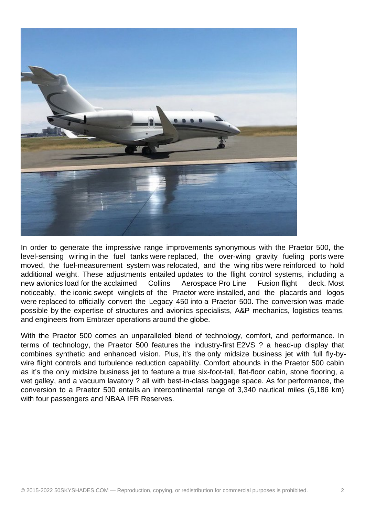

In order to generate the impressive range improvements synonymous with the Praetor 500, the level-sensing wiring in the fuel tanks were replaced, the over-wing gravity fueling ports were moved, the fuel-measurement system was relocated, and the wing ribs were reinforced to hold additional weight. These adjustments entailed updates to the flight control systems, including a new avionics load for the acclaimed Collins Aerospace Pro Line Fusion flight deck. Most noticeably, the iconic swept winglets of the Praetor were installed, and the placards and logos were replaced to officially convert the Legacy 450 into a Praetor 500. The conversion was made possible by the expertise of structures and avionics specialists, A&P mechanics, logistics teams, and engineers from Embraer operations around the globe.

With the Praetor 500 comes an unparalleled blend of technology, comfort, and performance. In terms of technology, the Praetor 500 features the industry-first E2VS ? a head-up display that combines synthetic and enhanced vision. Plus, it's the only midsize business jet with full fly-bywire flight controls and turbulence reduction capability. Comfort abounds in the Praetor 500 cabin as it's the only midsize business jet to feature a true six-foot-tall, flat-floor cabin, stone flooring, a wet galley, and a vacuum lavatory ? all with best-in-class baggage space. As for performance, the conversion to a Praetor 500 entails an intercontinental range of 3,340 nautical miles (6,186 km) with four passengers and NBAA IFR Reserves.